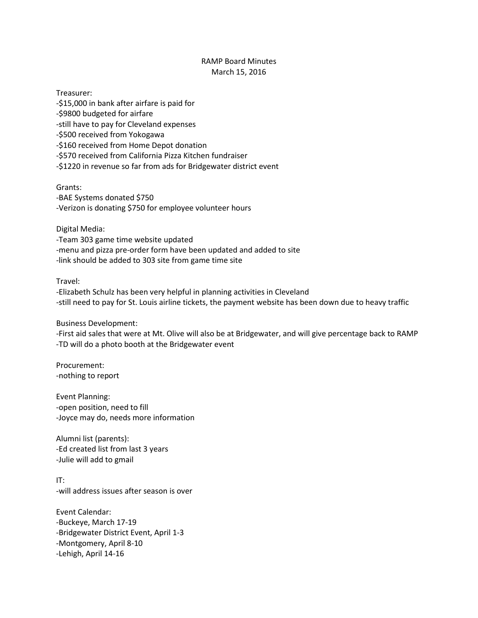## RAMP Board Minutes March 15, 2016

Treasurer:

-\$15,000 in bank after airfare is paid for -\$9800 budgeted for airfare -still have to pay for Cleveland expenses -\$500 received from Yokogawa -\$160 received from Home Depot donation -\$570 received from California Pizza Kitchen fundraiser -\$1220 in revenue so far from ads for Bridgewater district event

Grants: -BAE Systems donated \$750 -Verizon is donating \$750 for employee volunteer hours

Digital Media:

-Team 303 game time website updated -menu and pizza pre-order form have been updated and added to site -link should be added to 303 site from game time site

## Travel:

-Elizabeth Schulz has been very helpful in planning activities in Cleveland -still need to pay for St. Louis airline tickets, the payment website has been down due to heavy traffic

Business Development:

-First aid sales that were at Mt. Olive will also be at Bridgewater, and will give percentage back to RAMP -TD will do a photo booth at the Bridgewater event

Procurement: -nothing to report

Event Planning: -open position, need to fill -Joyce may do, needs more information

Alumni list (parents): -Ed created list from last 3 years -Julie will add to gmail

IT: -will address issues after season is over

Event Calendar: -Buckeye, March 17-19 -Bridgewater District Event, April 1-3 -Montgomery, April 8-10 -Lehigh, April 14-16